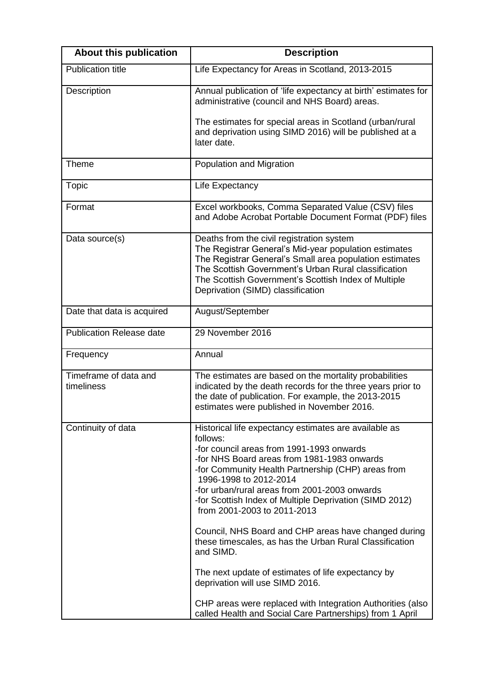| <b>About this publication</b>       | <b>Description</b>                                                                                                                                                                                                                                                                                                                                                                                                                                                                                                                                                                                                                                                                                                                          |
|-------------------------------------|---------------------------------------------------------------------------------------------------------------------------------------------------------------------------------------------------------------------------------------------------------------------------------------------------------------------------------------------------------------------------------------------------------------------------------------------------------------------------------------------------------------------------------------------------------------------------------------------------------------------------------------------------------------------------------------------------------------------------------------------|
| <b>Publication title</b>            | Life Expectancy for Areas in Scotland, 2013-2015                                                                                                                                                                                                                                                                                                                                                                                                                                                                                                                                                                                                                                                                                            |
| Description                         | Annual publication of 'life expectancy at birth' estimates for<br>administrative (council and NHS Board) areas.                                                                                                                                                                                                                                                                                                                                                                                                                                                                                                                                                                                                                             |
|                                     | The estimates for special areas in Scotland (urban/rural<br>and deprivation using SIMD 2016) will be published at a<br>later date.                                                                                                                                                                                                                                                                                                                                                                                                                                                                                                                                                                                                          |
| Theme                               | Population and Migration                                                                                                                                                                                                                                                                                                                                                                                                                                                                                                                                                                                                                                                                                                                    |
| <b>Topic</b>                        | Life Expectancy                                                                                                                                                                                                                                                                                                                                                                                                                                                                                                                                                                                                                                                                                                                             |
| Format                              | Excel workbooks, Comma Separated Value (CSV) files<br>and Adobe Acrobat Portable Document Format (PDF) files                                                                                                                                                                                                                                                                                                                                                                                                                                                                                                                                                                                                                                |
| Data source(s)                      | Deaths from the civil registration system<br>The Registrar General's Mid-year population estimates<br>The Registrar General's Small area population estimates<br>The Scottish Government's Urban Rural classification<br>The Scottish Government's Scottish Index of Multiple<br>Deprivation (SIMD) classification                                                                                                                                                                                                                                                                                                                                                                                                                          |
| Date that data is acquired          | August/September                                                                                                                                                                                                                                                                                                                                                                                                                                                                                                                                                                                                                                                                                                                            |
| <b>Publication Release date</b>     | 29 November 2016                                                                                                                                                                                                                                                                                                                                                                                                                                                                                                                                                                                                                                                                                                                            |
| Frequency                           | Annual                                                                                                                                                                                                                                                                                                                                                                                                                                                                                                                                                                                                                                                                                                                                      |
| Timeframe of data and<br>timeliness | The estimates are based on the mortality probabilities<br>indicated by the death records for the three years prior to<br>the date of publication. For example, the 2013-2015<br>estimates were published in November 2016.                                                                                                                                                                                                                                                                                                                                                                                                                                                                                                                  |
| Continuity of data                  | Historical life expectancy estimates are available as<br>follows:<br>-for council areas from 1991-1993 onwards<br>-for NHS Board areas from 1981-1983 onwards<br>-for Community Health Partnership (CHP) areas from<br>1996-1998 to 2012-2014<br>-for urban/rural areas from 2001-2003 onwards<br>-for Scottish Index of Multiple Deprivation (SIMD 2012)<br>from 2001-2003 to 2011-2013<br>Council, NHS Board and CHP areas have changed during<br>these timescales, as has the Urban Rural Classification<br>and SIMD.<br>The next update of estimates of life expectancy by<br>deprivation will use SIMD 2016.<br>CHP areas were replaced with Integration Authorities (also<br>called Health and Social Care Partnerships) from 1 April |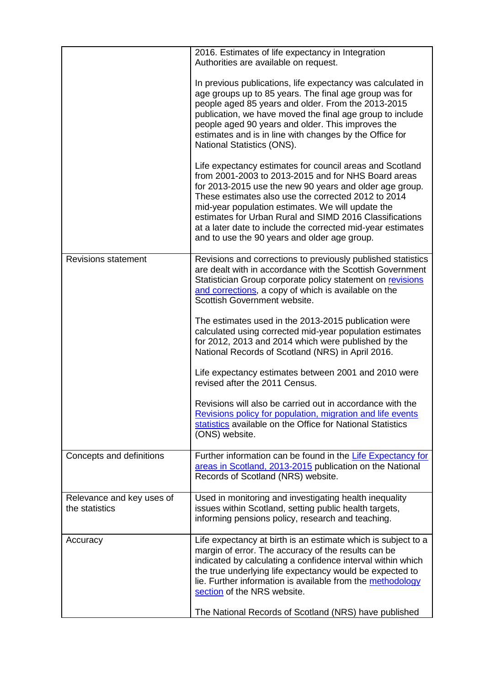|                                             | 2016. Estimates of life expectancy in Integration<br>Authorities are available on request.<br>In previous publications, life expectancy was calculated in<br>age groups up to 85 years. The final age group was for<br>people aged 85 years and older. From the 2013-2015<br>publication, we have moved the final age group to include<br>people aged 90 years and older. This improves the<br>estimates and is in line with changes by the Office for<br>National Statistics (ONS). |
|---------------------------------------------|--------------------------------------------------------------------------------------------------------------------------------------------------------------------------------------------------------------------------------------------------------------------------------------------------------------------------------------------------------------------------------------------------------------------------------------------------------------------------------------|
|                                             | Life expectancy estimates for council areas and Scotland<br>from 2001-2003 to 2013-2015 and for NHS Board areas<br>for 2013-2015 use the new 90 years and older age group.<br>These estimates also use the corrected 2012 to 2014<br>mid-year population estimates. We will update the<br>estimates for Urban Rural and SIMD 2016 Classifications<br>at a later date to include the corrected mid-year estimates<br>and to use the 90 years and older age group.                     |
| <b>Revisions statement</b>                  | Revisions and corrections to previously published statistics<br>are dealt with in accordance with the Scottish Government<br>Statistician Group corporate policy statement on revisions<br>and corrections, a copy of which is available on the<br>Scottish Government website.                                                                                                                                                                                                      |
|                                             | The estimates used in the 2013-2015 publication were<br>calculated using corrected mid-year population estimates<br>for 2012, 2013 and 2014 which were published by the<br>National Records of Scotland (NRS) in April 2016.                                                                                                                                                                                                                                                         |
|                                             | Life expectancy estimates between 2001 and 2010 were<br>revised after the 2011 Census.                                                                                                                                                                                                                                                                                                                                                                                               |
|                                             | Revisions will also be carried out in accordance with the<br>Revisions policy for population, migration and life events<br>statistics available on the Office for National Statistics<br>(ONS) website.                                                                                                                                                                                                                                                                              |
| Concepts and definitions                    | Further information can be found in the Life Expectancy for<br>areas in Scotland, 2013-2015 publication on the National<br>Records of Scotland (NRS) website.                                                                                                                                                                                                                                                                                                                        |
| Relevance and key uses of<br>the statistics | Used in monitoring and investigating health inequality<br>issues within Scotland, setting public health targets,<br>informing pensions policy, research and teaching.                                                                                                                                                                                                                                                                                                                |
| Accuracy                                    | Life expectancy at birth is an estimate which is subject to a<br>margin of error. The accuracy of the results can be<br>indicated by calculating a confidence interval within which<br>the true underlying life expectancy would be expected to<br>lie. Further information is available from the methodology<br>section of the NRS website.<br>The National Records of Scotland (NRS) have published                                                                                |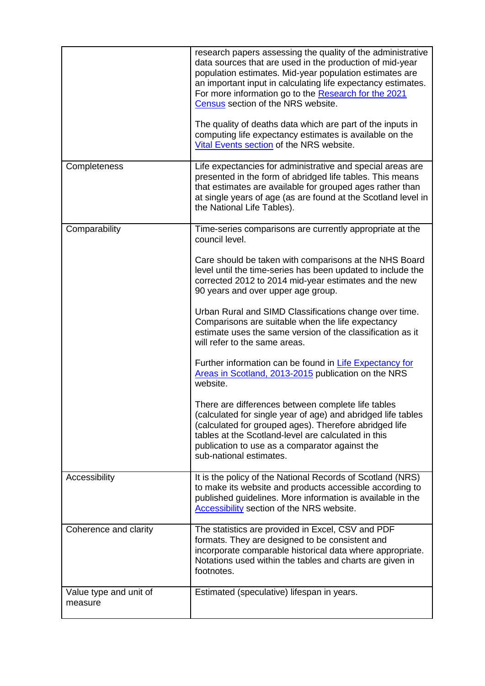|                                   | research papers assessing the quality of the administrative<br>data sources that are used in the production of mid-year<br>population estimates. Mid-year population estimates are<br>an important input in calculating life expectancy estimates.<br>For more information go to the Research for the 2021<br>Census section of the NRS website.<br>The quality of deaths data which are part of the inputs in<br>computing life expectancy estimates is available on the<br>Vital Events section of the NRS website. |
|-----------------------------------|-----------------------------------------------------------------------------------------------------------------------------------------------------------------------------------------------------------------------------------------------------------------------------------------------------------------------------------------------------------------------------------------------------------------------------------------------------------------------------------------------------------------------|
| Completeness                      | Life expectancies for administrative and special areas are<br>presented in the form of abridged life tables. This means<br>that estimates are available for grouped ages rather than<br>at single years of age (as are found at the Scotland level in<br>the National Life Tables).                                                                                                                                                                                                                                   |
| Comparability                     | Time-series comparisons are currently appropriate at the<br>council level.<br>Care should be taken with comparisons at the NHS Board<br>level until the time-series has been updated to include the<br>corrected 2012 to 2014 mid-year estimates and the new<br>90 years and over upper age group.<br>Urban Rural and SIMD Classifications change over time.<br>Comparisons are suitable when the life expectancy<br>estimate uses the same version of the classification as it                                       |
|                                   | will refer to the same areas.<br>Further information can be found in Life Expectancy for<br>Areas in Scotland, 2013-2015 publication on the NRS<br>website.<br>There are differences between complete life tables<br>(calculated for single year of age) and abridged life tables<br>(calculated for grouped ages). Therefore abridged life<br>tables at the Scotland-level are calculated in this<br>publication to use as a comparator against the<br>sub-national estimates.                                       |
| Accessibility                     | It is the policy of the National Records of Scotland (NRS)<br>to make its website and products accessible according to<br>published guidelines. More information is available in the<br>Accessibility section of the NRS website.                                                                                                                                                                                                                                                                                     |
| Coherence and clarity             | The statistics are provided in Excel, CSV and PDF<br>formats. They are designed to be consistent and<br>incorporate comparable historical data where appropriate.<br>Notations used within the tables and charts are given in<br>footnotes.                                                                                                                                                                                                                                                                           |
| Value type and unit of<br>measure | Estimated (speculative) lifespan in years.                                                                                                                                                                                                                                                                                                                                                                                                                                                                            |